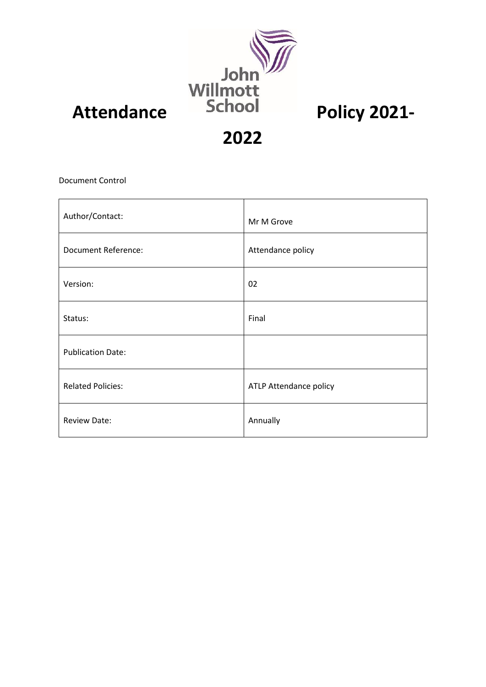

**2022**

Document Control

| Author/Contact:            | Mr M Grove             |
|----------------------------|------------------------|
| <b>Document Reference:</b> | Attendance policy      |
| Version:                   | 02                     |
| Status:                    | Final                  |
| <b>Publication Date:</b>   |                        |
| <b>Related Policies:</b>   | ATLP Attendance policy |
| <b>Review Date:</b>        | Annually               |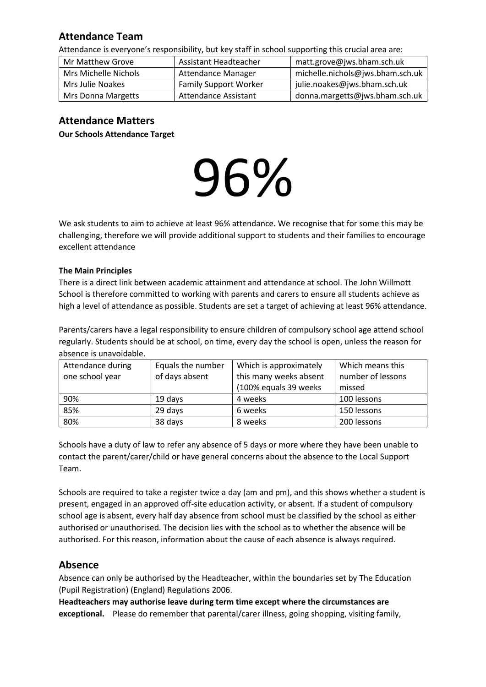# **Attendance Team**

Attendance is everyone's responsibility, but key staff in school supporting this crucial area are:

| Mr Matthew Grove          | Assistant Headteacher        | matt.grove@jws.bham.sch.uk       |  |
|---------------------------|------------------------------|----------------------------------|--|
| Mrs Michelle Nichols      | <b>Attendance Manager</b>    | michelle.nichols@jws.bham.sch.uk |  |
| Mrs Julie Noakes          | <b>Family Support Worker</b> | julie.noakes@jws.bham.sch.uk     |  |
| <b>Mrs Donna Margetts</b> | Attendance Assistant         | donna.margetts@jws.bham.sch.uk   |  |

# **Attendance Matters**

**Our Schools Attendance Target** 

# 96%

We ask students to aim to achieve at least 96% attendance. We recognise that for some this may be challenging, therefore we will provide additional support to students and their families to encourage excellent attendance

## **The Main Principles**

There is a direct link between academic attainment and attendance at school. The John Willmott School is therefore committed to working with parents and carers to ensure all students achieve as high a level of attendance as possible. Students are set a target of achieving at least 96% attendance.

Parents/carers have a legal responsibility to ensure children of compulsory school age attend school regularly. Students should be at school, on time, every day the school is open, unless the reason for absence is unavoidable.

| Attendance during<br>one school year | Equals the number<br>of days absent | Which is approximately<br>this many weeks absent | Which means this<br>number of lessons |
|--------------------------------------|-------------------------------------|--------------------------------------------------|---------------------------------------|
|                                      |                                     | (100% equals 39 weeks                            | missed                                |
| 90%                                  | 19 days                             | 4 weeks                                          | 100 lessons                           |
| 85%                                  | 29 days                             | 6 weeks                                          | 150 lessons                           |
| 80%                                  | 38 days                             | 8 weeks                                          | 200 lessons                           |

Schools have a duty of law to refer any absence of 5 days or more where they have been unable to contact the parent/carer/child or have general concerns about the absence to the Local Support Team.

Schools are required to take a register twice a day (am and pm), and this shows whether a student is present, engaged in an approved off-site education activity, or absent. If a student of compulsory school age is absent, every half day absence from school must be classified by the school as either authorised or unauthorised. The decision lies with the school as to whether the absence will be authorised. For this reason, information about the cause of each absence is always required.

# **Absence**

Absence can only be authorised by the Headteacher, within the boundaries set by The Education (Pupil Registration) (England) Regulations 2006.

**Headteachers may authorise leave during term time except where the circumstances are exceptional.** Please do remember that parental/carer illness, going shopping, visiting family,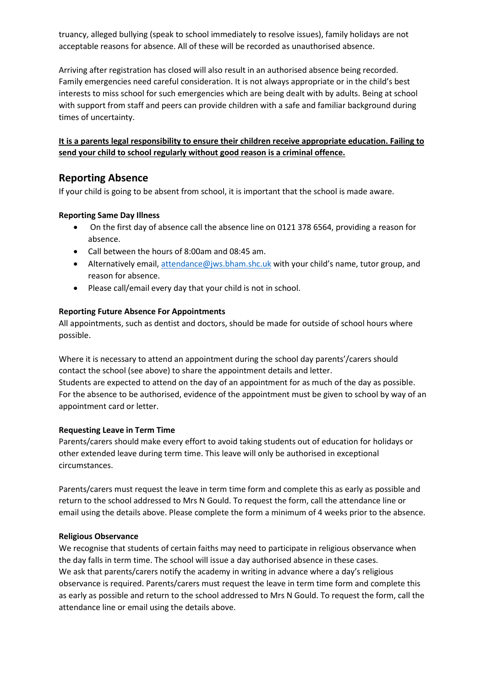truancy, alleged bullying (speak to school immediately to resolve issues), family holidays are not acceptable reasons for absence. All of these will be recorded as unauthorised absence.

Arriving after registration has closed will also result in an authorised absence being recorded. Family emergencies need careful consideration. It is not always appropriate or in the child's best interests to miss school for such emergencies which are being dealt with by adults. Being at school with support from staff and peers can provide children with a safe and familiar background during times of uncertainty.

## **It is a parents legal responsibility to ensure their children receive appropriate education. Failing to send your child to school regularly without good reason is a criminal offence.**

# **Reporting Absence**

If your child is going to be absent from school, it is important that the school is made aware.

## **Reporting Same Day Illness**

- On the first day of absence call the absence line on 0121 378 6564, providing a reason for absence.
- Call between the hours of 8:00am and 08:45 am.
- Alternatively email, [attendance@jws.bham.shc.uk](mailto:attendance@jws.bham.shc.uk) with your child's name, tutor group, and reason for absence.
- Please call/email every day that your child is not in school.

## **Reporting Future Absence For Appointments**

All appointments, such as dentist and doctors, should be made for outside of school hours where possible.

Where it is necessary to attend an appointment during the school day parents'/carers should contact the school (see above) to share the appointment details and letter. Students are expected to attend on the day of an appointment for as much of the day as possible. For the absence to be authorised, evidence of the appointment must be given to school by way of an appointment card or letter.

## **Requesting Leave in Term Time**

Parents/carers should make every effort to avoid taking students out of education for holidays or other extended leave during term time. This leave will only be authorised in exceptional circumstances.

Parents/carers must request the leave in term time form and complete this as early as possible and return to the school addressed to Mrs N Gould. To request the form, call the attendance line or email using the details above. Please complete the form a minimum of 4 weeks prior to the absence.

## **Religious Observance**

We recognise that students of certain faiths may need to participate in religious observance when the day falls in term time. The school will issue a day authorised absence in these cases. We ask that parents/carers notify the academy in writing in advance where a day's religious observance is required. Parents/carers must request the leave in term time form and complete this as early as possible and return to the school addressed to Mrs N Gould. To request the form, call the attendance line or email using the details above.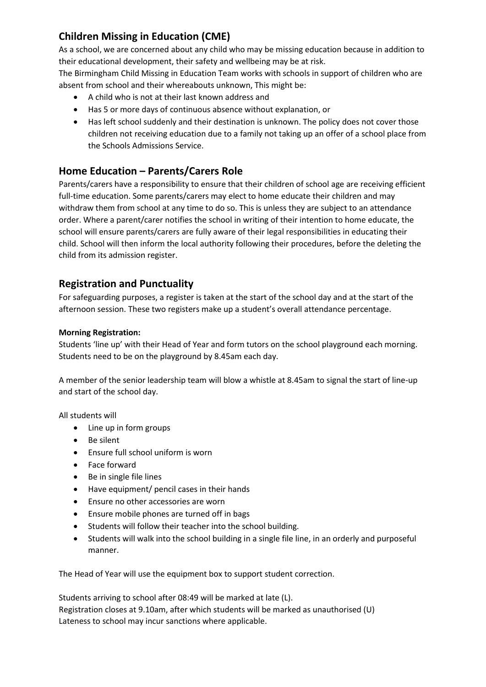# **Children Missing in Education (CME)**

As a school, we are concerned about any child who may be missing education because in addition to their educational development, their safety and wellbeing may be at risk.

The Birmingham Child Missing in Education Team works with schools in support of children who are absent from school and their whereabouts unknown, This might be:

- A child who is not at their last known address and
- Has 5 or more days of continuous absence without explanation, or
- Has left school suddenly and their destination is unknown. The policy does not cover those children not receiving education due to a family not taking up an offer of a school place from the Schools Admissions Service.

# **Home Education – Parents/Carers Role**

Parents/carers have a responsibility to ensure that their children of school age are receiving efficient full-time education. Some parents/carers may elect to home educate their children and may withdraw them from school at any time to do so. This is unless they are subject to an attendance order. Where a parent/carer notifies the school in writing of their intention to home educate, the school will ensure parents/carers are fully aware of their legal responsibilities in educating their child. School will then inform the local authority following their procedures, before the deleting the child from its admission register.

# **Registration and Punctuality**

For safeguarding purposes, a register is taken at the start of the school day and at the start of the afternoon session. These two registers make up a student's overall attendance percentage.

## **Morning Registration:**

Students 'line up' with their Head of Year and form tutors on the school playground each morning. Students need to be on the playground by 8.45am each day.

A member of the senior leadership team will blow a whistle at 8.45am to signal the start of line-up and start of the school day.

All students will

- Line up in form groups
- Be silent
- Ensure full school uniform is worn
- Face forward
- Be in single file lines
- Have equipment/ pencil cases in their hands
- Ensure no other accessories are worn
- Ensure mobile phones are turned off in bags
- Students will follow their teacher into the school building.
- Students will walk into the school building in a single file line, in an orderly and purposeful manner.

The Head of Year will use the equipment box to support student correction.

Students arriving to school after 08:49 will be marked at late (L). Registration closes at 9.10am, after which students will be marked as unauthorised (U) Lateness to school may incur sanctions where applicable.